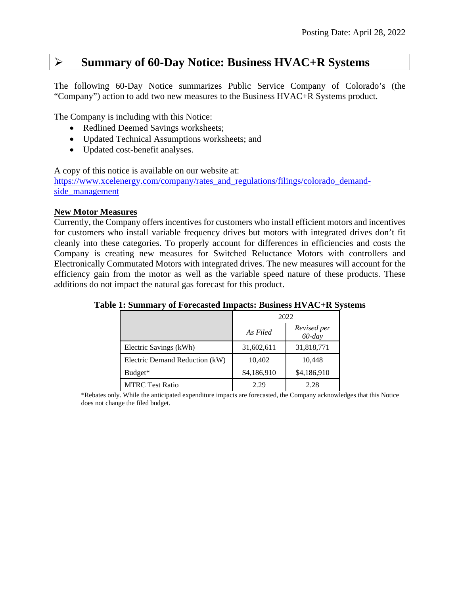# **Summary of 60-Day Notice: Business HVAC+R Systems**

The following 60-Day Notice summarizes Public Service Company of Colorado's (the "Company") action to add two new measures to the Business HVAC+R Systems product.

The Company is including with this Notice:

- Redlined Deemed Savings worksheets;
- Updated Technical Assumptions worksheets; and
- Updated cost-benefit analyses.

A copy of this notice is available on our website at:

[https://www.xcelenergy.com/company/rates\\_and\\_regulations/filings/colorado\\_demand](https://www.xcelenergy.com/company/rates_and_regulations/filings/colorado_demand-side_management)[side\\_management](https://www.xcelenergy.com/company/rates_and_regulations/filings/colorado_demand-side_management)

# **New Motor Measures**

Currently, the Company offers incentives for customers who install efficient motors and incentives for customers who install variable frequency drives but motors with integrated drives don't fit cleanly into these categories. To properly account for differences in efficiencies and costs the Company is creating new measures for Switched Reluctance Motors with controllers and Electronically Commutated Motors with integrated drives. The new measures will account for the efficiency gain from the motor as well as the variable speed nature of these products. These additions do not impact the natural gas forecast for this product.

|                                |             | 2022                     |
|--------------------------------|-------------|--------------------------|
|                                | As Filed    | Revised per<br>$60$ -day |
| Electric Savings (kWh)         | 31,602,611  | 31,818,771               |
| Electric Demand Reduction (kW) | 10,402      | 10,448                   |
| Budget*                        | \$4,186,910 | \$4,186,910              |
| <b>MTRC</b> Test Ratio         | 2.29        | 2.28                     |

# **Table 1: Summary of Forecasted Impacts: Business HVAC+R Systems**

\*Rebates only. While the anticipated expenditure impacts are forecasted, the Company acknowledges that this Notice does not change the filed budget.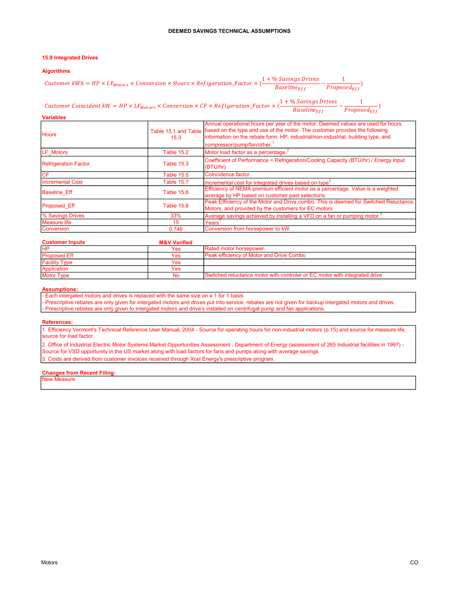## 15.9 Integrated Drives

#### Algorithms

|                                                                                                                      |                              | DEEMED SAVINGS TECHNICAL ASSUMPTIONS                                                                                                                                                                                                                                                            |  |
|----------------------------------------------------------------------------------------------------------------------|------------------------------|-------------------------------------------------------------------------------------------------------------------------------------------------------------------------------------------------------------------------------------------------------------------------------------------------|--|
|                                                                                                                      |                              |                                                                                                                                                                                                                                                                                                 |  |
| <b>15.9 Integrated Drives</b>                                                                                        |                              |                                                                                                                                                                                                                                                                                                 |  |
| <b>Algorithms</b>                                                                                                    |                              |                                                                                                                                                                                                                                                                                                 |  |
| Customer $kWh = HP \times LF_{Motors} \times Conversion \times Hours \times Refigeration_Factor \times$ <sup>1</sup> |                              | $1 + \%$ Savings Drives<br>$Proposed_{Eff}$<br>$Base line_{Eff}$                                                                                                                                                                                                                                |  |
| Customer Coincident $kW = HP \times LF_{Motors} \times Conversion \times CF \times Refigeration_Factor \times ($     |                              | $1 + \%$ Savings Drives<br>$\frac{1}{\textit{Proposed}_{\textit{Eff}}},$<br>$Baseline_{Eff}$                                                                                                                                                                                                    |  |
| <b>Variables</b>                                                                                                     |                              |                                                                                                                                                                                                                                                                                                 |  |
| <b>Hours</b>                                                                                                         | Table 15.1 and Table<br>15.3 | Annual operational hours per year of the motor. Deemed values are used for hours<br>based on the type and use of the motor. The customer provides the following<br>information on the rebate form: HP, industrial/non-industrial, building type, and<br>compressor/pump/fan/other. <sup>1</sup> |  |
| LF Motors                                                                                                            | <b>Table 15.2</b>            | Motor load factor as a percentage. <sup>2</sup>                                                                                                                                                                                                                                                 |  |
|                                                                                                                      |                              | Coefficient of Performance = Refrigeration/Cooling Capacity (BTU/hr) / Energy Input                                                                                                                                                                                                             |  |

|                             |                   | compressor/pump/fan/other.                                                                                                                  |
|-----------------------------|-------------------|---------------------------------------------------------------------------------------------------------------------------------------------|
| LF Motors                   | Table 15.2        | Motor load factor as a percentage. <sup>2</sup>                                                                                             |
| <b>Refrigeration Factor</b> | <b>Table 15.3</b> | Coefficient of Performance = Refrigeration/Cooling Capacity (BTU/hr) / Energy Input<br>(BTU/hr)                                             |
| CF                          | Table 15.5        | Coincidence factor                                                                                                                          |
| <b>Incremental Cost</b>     | Table 15.7        | Incremental cost for integrated drives based on type <sup>3</sup>                                                                           |
| <b>Baseline Eff</b>         | Table 15.8        | Efficiency of NEMA premium efficient motor as a percentage. Value is a weighted<br>average by HP based on customer past selections.         |
| Proposed Eff                | <b>Table 15.8</b> | Peak Efficiency of the Motor and Drive combo. This is deemed for Switched Reluctance<br>Motors, and provided by the customers for EC motors |
| % Savings Drives            | 33%               | Average savings achieved by installing a VFD on a fan or pumping motor. <sup>2</sup>                                                        |
| <b>Measure life</b>         | 15 <sup>15</sup>  | $\sf Years^1$                                                                                                                               |
| Conversion                  | 0.746             | Conversion from horsepower to kW.                                                                                                           |

| <b>Customer Inputs</b> | <b>M&amp;V Verified</b> |                                                                            |
|------------------------|-------------------------|----------------------------------------------------------------------------|
| <b>IHP</b>             | Yes                     | Rated motor horsepower.                                                    |
| <b>Proposed Eff</b>    | Yes                     | lPeak efficiency of Motor and Drive Combol                                 |
| <b>Facility Type</b>   | Yes                     |                                                                            |
| Application            | Yes                     |                                                                            |
| <b>Motor Type</b>      | No                      | Switched reluctance motor with controler or EC motor with integrated drive |

#### Assumptions:

- Each intergated motors and drives is replaced with the same size on a 1 for 1 basis.

- Prescriptive rebates are only given for intergated motors and drives put into service, rebates are not given for backup intergated motors and drives. - Prescriptive rebates are only given to intergated motors and drive's installed on centrifugal pump and fan applications.

#### References:

1. Efficiency Vermont's Technical Reference User Manual, 2004 - Source for operating hours for non-industrial motors (p.15) and source for measure life, source for load factor

2. Office of Industrial Electric Motor Systems Market Opportunities Assessment : Department of Energy (assessment of 265 Industrial facilities in 1997) - Source for VSD opportunity in the US market along with load factors for fans and pumps along with average savings 3. Costs are derived from customer invoices received through Xcel Energy's prescriptive program.

#### Changes from Recent Filing:

New Measure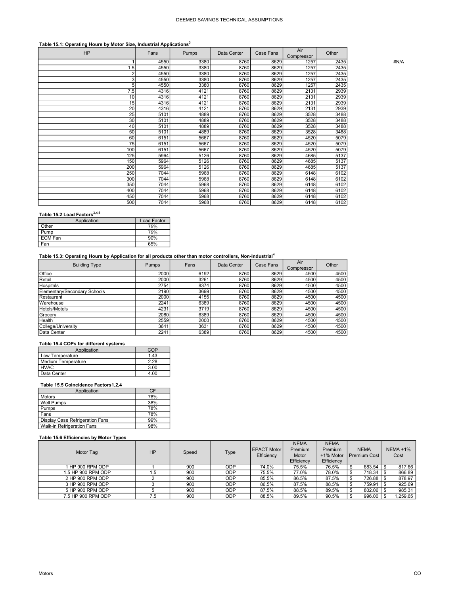# Table 15.1: Operating Hours by Motor Size, Industrial Applications<sup>3</sup>

| <b>HP</b>       | Fans | Pumps | Data Center | Case Fans | Air<br>Compressor | Other |      |
|-----------------|------|-------|-------------|-----------|-------------------|-------|------|
|                 | 4550 | 3380  | 8760        | 8629      | 1257              | 2435  | #N/A |
| 1.5             | 4550 | 3380  | 8760        | 8629      | 1257              | 2435  |      |
| $\overline{2}$  | 4550 | 3380  | 8760        | 8629      | 1257              | 2435  |      |
| 3 <sub>l</sub>  | 4550 | 3380  | 8760        | 8629      | 1257              | 2435  |      |
| 5               | 4550 | 3380  | 8760        | 8629      | 1257              | 2435  |      |
| 7.5             | 4316 | 4121  | 8760        | 8629      | 2131              | 2939  |      |
| 10              | 4316 | 4121  | 8760        | 8629      | 2131              | 2939  |      |
| 15              | 4316 | 4121  | 8760        | 8629      | 2131              | 2939  |      |
| 20              | 4316 | 4121  | 8760        | 8629      | 2131              | 2939  |      |
| 25              | 5101 | 4889  | 8760        | 8629      | 3528              | 3488  |      |
| 30              | 5101 | 4889  | 8760        | 8629      | 3528              | 3488  |      |
| 40              | 5101 | 4889  | 8760        | 8629      | 3528              | 3488  |      |
| 50              | 5101 | 4889  | 8760        | 8629      | 3528              | 3488  |      |
| 60              | 6151 | 5667  | 8760        | 8629      | 4520              | 5079  |      |
| $\overline{75}$ | 6151 | 5667  | 8760        | 8629      | 4520              | 5079  |      |
| 100             | 6151 | 5667  | 8760        | 8629      | 4520              | 5079  |      |
| 125             | 5964 | 5126  | 8760        | 8629      | 4685              | 5137  |      |
| 150             | 5964 | 5126  | 8760        | 8629      | 4685              | 5137  |      |
| 200             | 5964 | 5126  | 8760        | 8629      | 4685              | 5137  |      |
| 250             | 7044 | 5968  | 8760        | 8629      | 6148              | 6102  |      |
| 300             | 7044 | 5968  | 8760        | 8629      | 6148              | 6102  |      |
| 350             | 7044 | 5968  | 8760        | 8629      | 6148              | 6102  |      |
| 400             | 7044 | 5968  | 8760        | 8629      | 6148              | 6102  |      |
| 450             | 7044 | 5968  | 8760        | 8629      | 6148              | 6102  |      |
| 500             | 7044 | 5968  | 8760        | 8629      | 6148              | 6102  |      |

#### Table 15.2 Load Factors<sup>3,4,5</sup>

| Application    | <b>Load Factor</b> |
|----------------|--------------------|
| Other          | 75%                |
| Pump           | 75%                |
| <b>ECM Fan</b> | 90%                |
| Fan            | 65%                |

# Table 15.3: Operating Hours by Application for all products other than motor controllers, Non-Industrial<sup>4</sup>

| <b>Building Type</b>         | Pumps | Fans | Data Center | Case Fans | Air<br>Compressor | Other |
|------------------------------|-------|------|-------------|-----------|-------------------|-------|
| Office                       | 2000  | 6192 | 8760        | 8629      | 4500              | 4500  |
| Retail                       | 2000  | 3261 | 8760        | 8629      | 4500              | 4500  |
| Hospitals                    | 2754  | 8374 | 8760        | 8629      | 4500              | 4500  |
| Elementary/Secondary Schools | 2190  | 3699 | 8760        | 8629      | 4500              | 4500  |
| Restaurant                   | 2000  | 4155 | 8760        | 8629      | 4500              | 4500  |
| Warehouse                    | 2241  | 6389 | 8760        | 8629      | 4500              | 4500  |
| Hotels/Motels                | 4231  | 3719 | 8760        | 8629      | 4500              | 4500  |
| Grocery                      | 2080  | 6389 | 8760        | 8629      | 4500              | 4500  |
| Health                       | 2559  | 2000 | 8760        | 8629      | 4500              | 4500  |
| College/University           | 3641  | 3631 | 8760        | 8629      | 4500              | 4500  |
| Data Center                  | 2241  | 6389 | 8760        | 8629      | 4500              | 4500  |

#### Table 15.4 COPs for different systems

| Application        |      |
|--------------------|------|
| Low Temperature    | 1.43 |
| Medium Temperature | 2.28 |
| <b>HVAC</b>        | 3.00 |
| Data Center        |      |

#### Table 15.5 Coincidence Factors1,2,4

| Application                     | CF  |
|---------------------------------|-----|
| <b>Motors</b>                   | 78% |
| <b>Well Pumps</b>               | 38% |
| Pumps                           | 78% |
| Fans                            | 78% |
| Display Case Refrigeration Fans | 99% |
| Walk-in Refrigeration Fans      | 98% |

## Table 15.6 Efficiencies by Motor Types

| Motor Tag          | <b>HP</b> | Speed | Type       | <b>EPACT Motor</b><br>Efficiency | <b>NEMA</b><br><b>Premium</b><br>Motor<br>Efficiency | <b>NEMA</b><br>Premium<br>+1% Motor<br>Efficiency | <b>NEMA</b><br><b>Premium Cost</b> | $NEMA + 1%$<br>Cost |
|--------------------|-----------|-------|------------|----------------------------------|------------------------------------------------------|---------------------------------------------------|------------------------------------|---------------------|
| HP 900 RPM ODP     |           | 900   | ODP        | 74.0%                            | 75.5%                                                | 76.5%                                             | 683.54                             | 817.66              |
| 1.5 HP 900 RPM ODP | 1.5       | 900   | ODP        | 75.5%                            | 77.0%                                                | 78.0%                                             | 718.34                             | 866.89              |
| 2 HP 900 RPM ODP   |           | 900   | ODP        | 85.5%                            | 86.5%                                                | 87.5%                                             | 726.88<br>۰D                       | 878.97              |
| 3 HP 900 RPM ODP   |           | 900   | <b>ODP</b> | 86.5%                            | 87.5%                                                | 88.5%                                             | 759.91                             | 925.69              |
| 5 HP 900 RPM ODP   |           | 900   | ODP        | 87.5%                            | 88.5%                                                | 89.5%                                             | 802.06                             | 985.31              |
| 7.5 HP 900 RPM ODP | 7.5       | 900   | ODP        | 88.5%                            | 89.5%                                                | 90.5%                                             | 996.00                             | 1.259.65            |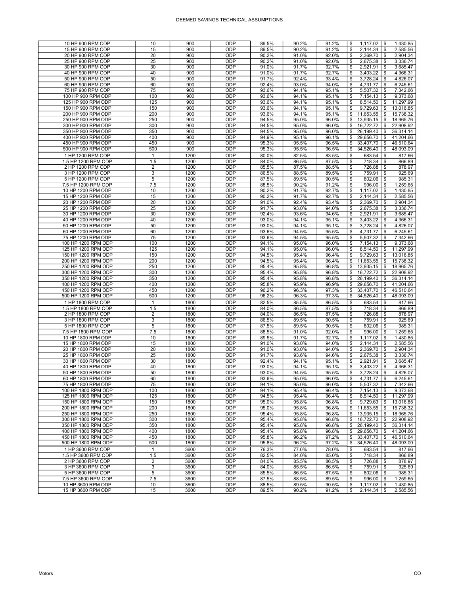| 10 HP 900 RPM ODP                        | 10             | 900          | ODP        | 89.5%          | 90.2%          | 91.2%          | \$       |                      | 1,430.85                         |
|------------------------------------------|----------------|--------------|------------|----------------|----------------|----------------|----------|----------------------|----------------------------------|
| 15 HP 900 RPM ODP                        | 15             | 900          | ODP        | 89.5%          | 90.2%          | 91.2%          | \$       | 2,144.34             | 2,585.56<br>-\$                  |
| 20 HP 900 RPM ODP                        | 20             | 900          | ODP        | 90.2%          | 91.0%          | 92.0%          | \$       | 2,369.70             | 2,904.34<br>\$                   |
| 25 HP 900 RPM ODP                        | 25             | 900          | ODP        | 90.2%          | 91.0%          | 92.0%          | \$       | 2,675.38             | 3,336.74<br>\$                   |
|                                          |                |              |            |                |                |                |          |                      |                                  |
| 30 HP 900 RPM ODP                        | 30             | 900          | ODP        | 91.0%          | 91.7%          | 92.7%          | \$       | 2,921.91             | 3.685.47<br>\$                   |
| 40 HP 900 RPM ODP                        | 40             | 900          | ODP        | 91.0%          | 91.7%          | 92.7%          | \$       | 3,403.22             | 4,366.31<br>\$                   |
| 50 HP 900 RPM ODP                        | 50             | 900          | ODP        | 91.7%          | 92.4%          | 93.4%          | \$       | 3,728.24             | \$<br>4,826.07                   |
| 60 HP 900 RPM ODP                        | 60             | 900          | ODP        | 92.4%          | 93.0%          | 94.0%          | \$       | 4,731.77             | 6,245.61<br>\$                   |
| 75 HP 900 RPM ODP                        | 75             | 900          | ODP        | 93.6%          | 94.1%          | 95.1%          | \$       | 5,507.32             | 7,342.66<br>\$                   |
| 100 HP 900 RPM ODP                       | 100            | 900          | ODP        | 93.6%          | 94.1%          | 95.1%          | \$       | 7,154.13             | 9,373.68<br>\$                   |
|                                          |                |              |            |                |                |                |          |                      |                                  |
| 125 HP 900 RPM ODP                       | 125            | 900          | ODP        | 93.6%          | 94.1%          | 95.1%          | \$       | 8,514.50             | \$<br>11,297.99                  |
| 150 HP 900 RPM ODP                       | 150            | 900          | ODP        | 93.6%          | 94.1%          | 95.1%          | \$       | 9,729.63             | 13,016.85<br>\$                  |
| 200 HP 900 RPM ODP                       | 200            | 900          | ODP        | 93.6%          | 94.1%          | 95.1%          | \$       | 11,653.55            | 15,738.32<br>\$                  |
| 250 HP 900 RPM ODP                       | 250            | 900          | ODP        | 94.5%          | 95.0%          | 96.0%          | \$       | 13,935.15            | 18,965.76<br>\$                  |
| 300 HP 900 RPM ODP                       | 300            | 900          | ODP        | 94.5%          | 95.0%          | 96.0%          | \$       | 16,722.72            | 22,908.92<br>\$                  |
|                                          |                |              |            |                |                |                |          |                      |                                  |
| 350 HP 900 RPM ODP                       | 350            | 900          | ODP        | 94.5%          | 95.0%          | 96.0%          | \$       | 26,199.40            | 36.314.14<br>\$                  |
| 400 HP 900 RPM ODP                       | 400            | 900          | ODP        | 94.9%          | 95.1%          | 96.1%          | \$       | 29,656.70            | \$<br>41,204.66                  |
| 450 HP 900 RPM ODP                       | 450            | 900          | ODP        | 95.3%          | 95.5%          | 96.5%          | \$       | 33,407.70            | 46,510.64<br>\$                  |
| 500 HP 900 RPM ODP                       | 500            | 900          | ODP        | 95.3%          | 95.5%          | 96.5%          | \$       | 34,526.40            | \$<br>48,093.09                  |
| 1 HP 1200 RPM ODP                        | $\mathbf{1}$   | 1200         | ODP        | 80.0%          | 82.5%          | 83.5%          | \$       | 683.54               | 817.66<br>\$                     |
|                                          |                |              |            |                |                |                |          |                      |                                  |
| 1.5 HP 1200 RPM ODP                      | 1.5            | 1200         | ODP        | 84.0%          | 86.5%          | 87.5%          | \$       | 718.34               | \$<br>866.89                     |
| 2 HP 1200 RPM ODP                        | $\overline{2}$ | 1200         | ODP        | 85.5%          | 87.5%          | 88.5%          | \$       | 726.88               | 878.97<br>\$                     |
| 3 HP 1200 RPM ODP                        | 3              | 1200         | ODP        | 86.5%          | 88.5%          | 89.5%          | \$       | 759.91               | \$<br>925.69                     |
| 5 HP 1200 RPM ODP                        | 5              | 1200         | ODP        | 87.5%          | 89.5%          | 90.5%          | \$       | 802.06               | 985.31<br>\$                     |
| 7.5 HP 1200 RPM ODP                      | 7.5            | 1200         | ODP        | 88.5%          | 90.2%          | 91.2%          | \$       | 996.00               | 1,259.65<br>\$                   |
|                                          |                |              |            |                |                |                |          |                      |                                  |
| 10 HP 1200 RPM ODP                       | 10             | 1200         | ODP        | 90.2%          | 91.7%          | 92.7%          | \$       | 1,117.02             | 1,430.85<br>\$                   |
| 15 HP 1200 RPM ODP                       | 15             | 1200         | ODP        | 90.2%          | 91.7%          | 92.7%          | \$       | 2,144.34             | \$<br>2,585.56                   |
| 20 HP 1200 RPM ODP                       | 20             | 1200         | ODP        | 91.0%          | 92.4%          | 93.4%          | \$       | 2,369.70             | 2,904.34<br>\$                   |
| 25 HP 1200 RPM ODP                       | 25             | 1200         | ODP        | 91.7%          | 93.0%          | 94.0%          | \$       | 2,675.38             | 3,336.74<br>\$                   |
| 30 HP 1200 RPM ODP                       | 30             | 1200         | ODP        | 92.4%          | 93.6%          | 94.6%          | \$       | 2,921.91             | \$<br>3,685.47                   |
|                                          |                |              |            |                |                |                |          |                      |                                  |
| 40 HP 1200 RPM ODP                       | 40             | 1200         | ODP        | 93.0%          | 94.1%          | 95.1%          | \$       | 3,403.22             | \$<br>4,366.31                   |
| 50 HP 1200 RPM ODP                       | 50             | 1200         | ODP        | 93.0%          | 94.1%          | 95.1%          | \$       | 3,728.24             | 4,826.07<br>\$                   |
| 60 HP 1200 RPM ODP                       | 60             | 1200         | ODP        | 93.6%          | 94.5%          | 95.5%          | \$       | 4,731.77             | 6,245.61<br>\$                   |
| 75 HP 1200 RPM ODP                       | 75             | 1200         | ODP        | 93.6%          | 94.5%          | 95.5%          | \$       | 5,507.32             | 7,342.66<br>\$                   |
| 100 HP 1200 RPM ODP                      | 100            | 1200         | ODP        | 94.1%          | 95.0%          | 96.0%          | \$       | 7,154.13             | 9,373.68<br>\$                   |
|                                          |                |              |            |                |                |                |          |                      |                                  |
| 125 HP 1200 RPM ODP                      | 125            | 1200         | ODP        | 94.1%          | 95.0%          | 96.0%          | \$       | 8,514.50             | 11,297.99<br>\$                  |
| 150 HP 1200 RPM ODP                      | 150            | 1200         | ODP        | 94.5%          | 95.4%          | 96.4%          | \$       | 9,729.63             | \$<br>13.016.85                  |
| 200 HP 1200 RPM ODP                      | 200            | 1200         | ODP        | 94.5%          | 95.4%          | 96.4%          | \$       |                      | 15,738.32<br>\$                  |
|                                          |                |              |            |                |                |                |          |                      |                                  |
|                                          |                |              |            |                |                |                |          | 11,653.55            |                                  |
| 250 HP 1200 RPM ODP                      | 250            | 1200         | ODP        | 95.4%          | 95.8%          | 96.8%          | \$       | 13,935.15            | 18,965.76<br>\$                  |
| 300 HP 1200 RPM ODP                      | 300            | 1200         | ODP        | 95.4%          | 95.8%          | 96.8%          | \$       | 16,722.72            | \$<br>22,908.92                  |
| 350 HP 1200 RPM ODP                      | 350            | 1200         | ODP        | 95.4%          | 95.8%          | 96.8%          | \$       | 26,199.40            | \$<br>36,314.14                  |
| 400 HP 1200 RPM ODP                      | 400            | 1200         | ODP        | 95.8%          | 95.9%          | 96.9%          | \$       | 29,656.70            | 41,204.66<br>\$                  |
| 450 HP 1200 RPM ODP                      | 450            | 1200         | ODP        | 96.2%          | 96.3%          | 97.3%          | \$       | 33,407.70            | 46,510.64<br>\$                  |
|                                          |                |              |            |                |                |                |          |                      |                                  |
| 500 HP 1200 RPM ODP                      | 500            | 1200         | ODP        | 96.2%          | 96.3%          | 97.3%          | \$       | 34,526.40            | 48,093.09<br>\$                  |
| 1 HP 1800 RPM ODP                        | $\mathbf{1}$   | 1800         | ODP        | 82.5%          | 85.5%          | 86.5%          | \$       | 683.54               | \$<br>817.66                     |
| 1.5 HP 1800 RPM ODP                      | 1.5            | 1800         | ODP        | 84.0%          | 86.5%          | 87.5%          | \$       | 718.34               | \$<br>866.89                     |
| 2 HP 1800 RPM ODP                        | 2              | 1800         | ODP        | 84.0%          | 86.5%          | 87.5%          | \$       | 726.88               | 878.97<br>\$                     |
|                                          | 3              | 1800         | ODP        |                |                | 90.5%          | \$       | 759.91               | 925.69<br>\$                     |
| 3 HP 1800 RPM ODP                        |                |              |            | 86.5%          | 89.5%          |                |          |                      |                                  |
| 5 HP 1800 RPM ODP                        | 5              | 1800         | ODP        | 87.5%          | 89.5%          | 90.5%          | \$       | 802.06               | 985.31<br>\$                     |
| 7.5 HP 1800 RPM ODP                      | 7.5            | 1800         | ODP        | 88.5%          | 91.0%          | 92.0%          | \$       | 996.00               | \$<br>1,259.65                   |
| 10 HP 1800 RPM ODP                       | 10             | 1800         | ODP        | 89.5%          | 91.7%          | 92.7%          | \$       | 1,117.02             | 1,430.85<br>\$                   |
| 15 HP 1800 RPM ODP                       | 15             | 1800         | ODP        | 91.0%          | 93.0%          | 94.0%          | \$       | 2,144.34             | 2,585.56<br>\$                   |
| 20 HP 1800 RPM ODP                       | 20             | 1800         | ODP        | 91.0%          | 93.0%          | 94.0%          | \$       | 2,369.70             | \$<br>2,904.34                   |
|                                          | 25             | 1800         | ODP        |                |                | 94.6%          | \$       |                      | \$                               |
| 25 HP 1800 RPM ODP                       |                |              |            | 91.7%          | 93.6%          |                |          | 2,675.38             | 3,336.74                         |
| 30 HP 1800 RPM ODP                       | 30             | 1800         | ODP        | 92.4%          | 94.1%          | 95.1%          | \$       | 2,921.91             | 3,685.47<br>\$                   |
| 40 HP 1800 RPM ODP                       | 40             | 1800         | ODP        | 93.0%          | 94.1%          | 95.1%          | \$       | 3,403.22             | \$<br>4,366.31                   |
| 50 HP 1800 RPM ODP                       | 50             | 1800         | ODP        | 93.0%          | 94.5%          | 95.5%          | \$       | 3.728.24             | \$<br>4,826.07                   |
| 60 HP 1800 RPM ODP                       | 60             | 1800         | ODP        | 93.6%          | 95.0%          | 96.0%          | \$       | 4,731.77             | \$<br>6,245.61                   |
| 75 HP 1800 RPM ODP                       | 75             | 1800         | ODP        | 94.1%          | 95.0%          | 96.0%          | \$       | 5,507.32             | 7,342.66<br>\$                   |
|                                          |                |              | <b>ODP</b> |                |                |                |          |                      |                                  |
| 100 HP 1800 RPM ODP                      | 100            | 1800         |            | 94.1%          | 95.4%          | 96.4%          | \$       | 7,154.13             | 9,373.68<br>\$                   |
| 125 HP 1800 RPM ODP                      | 125            | 1800         | ODP        | 94.5%          | 95.4%          | 96.4%          | \$       | 8,514.50             | \$<br>11,297.99                  |
| 150 HP 1800 RPM ODP                      | 150            | 1800         | ODP        | 95.0%          | 95.8%          | 96.8%          | \$       | 9,729.63             | 13,016.85<br>\$                  |
| 200 HP 1800 RPM ODP                      | 200            | 1800         | ODP        | 95.0%          | 95.8%          | 96.8%          | \$       | 11,653.55            | \$<br>15,738.32                  |
| 250 HP 1800 RPM ODP                      | 250            | 1800         | ODP        | 95.4%          | 95.8%          | 96.8%          | \$       | 13,935.15            | 18,965.76<br>\$                  |
| 300 HP 1800 RPM ODP                      | 300            | 1800         | ODP        | 95.4%          | 95.8%          | 96.8%          | \$       | 16,722.72            | 22,908.92<br>\$                  |
|                                          |                |              |            |                |                |                |          |                      |                                  |
| 350 HP 1800 RPM ODP                      | 350            | 1800         | ODP        | 95.4%          | 95.8%          | 96.8%          | \$       | 26,199.40            | \$<br>36,314.14                  |
| 400 HP 1800 RPM ODP                      | 400            | 1800         | ODP        | 95.4%          | 95.8%          | 96.8%          | \$       | 29,656.70            | 41,204.66<br>\$                  |
| 450 HP 1800 RPM ODP                      | 450            | 1800         | ODP        | 95.8%          | 96.2%          | 97.2%          | \$       | 33,407.70            | 46,510.64<br>\$                  |
| 500 HP 1800 RPM ODP                      | 500            | 1800         | ODP        | 95.8%          | 96.2%          | 97.2%          | \$       | 34,526.40            | \$<br>48,093.09                  |
| 1 HP 3600 RPM ODP                        | 1              | 3600         | <b>ODP</b> |                | 77.0%          | 78.0%          |          |                      | \$                               |
|                                          |                |              |            | 76.3%          |                |                | \$       | 683.54               | 817.66                           |
| 1.5 HP 3600 RPM ODP                      | 1.5            | 3600         | ODP        | 82.5%          | 84.0%          | 85.0%          | \$       | 718.34               | 866.89<br>\$                     |
| 2 HP 3600 RPM ODP                        | $\overline{2}$ | 3600         | ODP        | 84.0%          | 85.5%          | 86.5%          | \$       | 726.88               | \$<br>878.97                     |
| 3 HP 3600 RPM ODP                        | 3              | 3600         | ODP        | 84.0%          | 85.5%          | 86.5%          | \$       | 759.91               | \$<br>925.69                     |
| 5 HP 3600 RPM ODP                        | 5              | 3600         | ODP        | 85.5%          | 86.5%          | 87.5%          | \$       | 802.06               | 985.31<br>\$                     |
|                                          |                |              | ODP        |                |                |                |          |                      |                                  |
| 7.5 HP 3600 RPM ODP                      | 7.5            | 3600         |            | 87.5%          | 88.5%          | 89.5%          | \$       | 996.00               | 1,259.65<br>\$                   |
| 10 HP 3600 RPM ODP<br>15 HP 3600 RPM ODP | 10<br>15       | 3600<br>3600 | ODP<br>ODP | 88.5%<br>89.5% | 89.5%<br>90.2% | 90.5%<br>91.2% | \$<br>\$ | 1,117.02<br>2,144.34 | \$<br>1,430.85<br>\$<br>2,585.56 |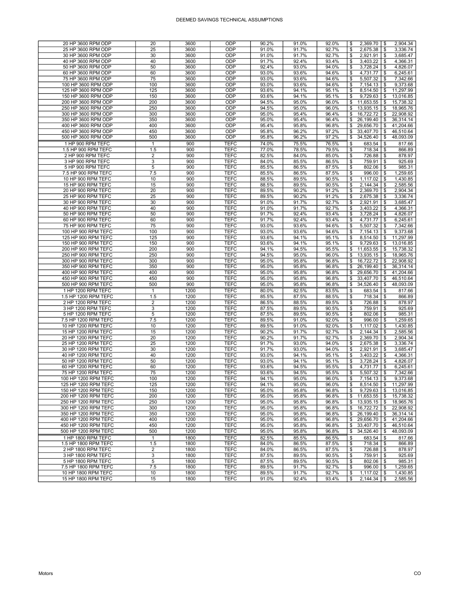| 20 HP 3600 RPM ODP   | 20             | 3600 | ODP         | 90.2% | 91.0% | 92.0% | 2,369.70<br>2,904.34<br>\$<br>\$                  |
|----------------------|----------------|------|-------------|-------|-------|-------|---------------------------------------------------|
| 25 HP 3600 RPM ODP   | 25             | 3600 | ODP         | 91.0% | 91.7% | 92.7% | \$<br>2,675.38<br>\$<br>3,336.74                  |
| 30 HP 3600 RPM ODP   | 30             | 3600 | ODP         | 91.0% | 91.7% | 92.7% | 2,921.91<br>3,685.47<br>\$<br>\$                  |
| 40 HP 3600 RPM ODP   | 40             | 3600 | ODP         | 91.7% | 92.4% | 93.4% | \$<br>3,403.22<br>4.366.31<br>\$                  |
| 50 HP 3600 RPM ODP   | 50             | 3600 | ODP         | 92.4% | 93.0% | 94.0% | 4,826.07<br>\$<br>3,728.24<br>\$                  |
| 60 HP 3600 RPM ODP   | 60             | 3600 | ODP         | 93.0% | 93.6% | 94.6% | 4,731.77<br>6,245.61<br>\$<br>\$                  |
| 75 HP 3600 RPM ODP   | 75             | 3600 | ODP         | 93.0% | 93.6% | 94.6% | \$<br>5,507.32<br>7,342.66<br>\$                  |
| 100 HP 3600 RPM ODP  | 100            | 3600 | ODP         | 93.0% | 93.6% | 94.6% | 7,154.13<br>\$<br>9,373.68<br>\$                  |
| 125 HP 3600 RPM ODP  | 125            | 3600 | ODP         | 93.6% | 94.1% | 95.1% | \$<br>8,514.50<br>11,297.99<br>\$                 |
| 150 HP 3600 RPM ODP  | 150            | 3600 | ODP         | 93.6% | 94.1% | 95.1% | 9,729.63<br>13,016.85<br>\$<br>\$                 |
| 200 HP 3600 RPM ODP  | 200            | 3600 | ODP         | 94.5% | 95.0% | 96.0% | \$<br>11,653.55<br>15,738.32<br>\$                |
| 250 HP 3600 RPM ODP  | 250            | 3600 | ODP         | 94.5% | 95.0% | 96.0% | \$<br>13,935.15<br>\$<br>18,965.76                |
| 300 HP 3600 RPM ODP  | 300            | 3600 | ODP         | 95.0% | 95.4% | 96.4% | 16,722.72<br>22,908.92<br>\$<br>\$                |
| 350 HP 3600 RPM ODP  | 350            | 3600 | ODP         | 95.0% | 95.4% | 96.4% | \$<br>$\overline{26}$ , 199.40<br>\$<br>36,314.14 |
| 400 HP 3600 RPM ODP  | 400            | 3600 | ODP         | 95.4% | 95.8% | 96.8% | \$<br>29,656.70<br>41,204.66<br>\$                |
| 450 HP 3600 RPM ODP  | 450            | 3600 | ODP         | 95.8% | 96.2% | 97.2% | 33,407.70<br>46,510.64<br>\$<br>\$                |
| 500 HP 3600 RPM ODP  | 500            | 3600 | ODP         | 95.8% | 96.2% | 97.2% | \$<br>34,526.40<br>\$<br>48,093.09                |
|                      |                |      |             |       |       |       |                                                   |
| 1 HP 900 RPM TEFC    | $\mathbf{1}$   | 900  | <b>TEFC</b> | 74.0% | 75.5% | 76.5% | 683.54<br>817.66<br>\$<br>\$                      |
| 1.5 HP 900 RPM TEFC  | 1.5            | 900  | <b>TEFC</b> | 77.0% | 78.5% | 79.5% | 718.34<br>866.89<br>\$<br>\$                      |
| 2 HP 900 RPM TEFC    | 2              | 900  | <b>TEFC</b> | 82.5% | 84.0% | 85.0% | \$<br>726.88<br>\$<br>878.97                      |
| 3 HP 900 RPM TEFC    | 3              | 900  | <b>TEFC</b> | 84.0% | 85.5% | 86.5% | \$<br>925.69<br>\$<br>759.91                      |
| 5 HP 900 RPM TEFC    | 5              | 900  | <b>TEFC</b> | 85.5% | 86.5% | 87.5% | 802.06<br>\$<br>\$<br>985.31                      |
| 7.5 HP 900 RPM TEFC  | 7.5            | 900  | <b>TEFC</b> | 85.5% | 86.5% | 87.5% | 996.00<br>1,259.65<br>\$<br>\$                    |
| 10 HP 900 RPM TEFC   | 10             | 900  | <b>TEFC</b> | 88.5% | 89.5% | 90.5% | \$<br>1,117.02<br>\$<br>1,430.85                  |
| 15 HP 900 RPM TEFC   | 15             | 900  | <b>TEFC</b> | 88.5% | 89.5% | 90.5% | \$<br>2,144.34<br>2,585.56<br>\$                  |
| 20 HP 900 RPM TEFC   | 20             | 900  | <b>TEFC</b> | 89.5% | 90.2% | 91.2% | 2,369.70<br>2,904.34<br>\$<br>-\$                 |
| 25 HP 900 RPM TEFC   | 25             | 900  | <b>TEFC</b> | 89.5% | 90.2% | 91.2% | 3.336.74<br>\$<br>2,675.38<br>\$                  |
| 30 HP 900 RPM TEFC   | 30             | 900  | <b>TEFC</b> | 91.0% | 91.7% | 92.7% | 2,921.91<br>\$<br>\$<br>3,685.47                  |
| 40 HP 900 RPM TEFC   | 40             | 900  | <b>TEFC</b> | 91.0% | 91.7% | 92.7% | 3,403.22<br>4,366.31<br>\$<br>\$                  |
| 50 HP 900 RPM TEFC   | 50             | 900  | <b>TEFC</b> | 91.7% | 92.4% | 93.4% | \$<br>3,728.24<br>\$<br>4,826.07                  |
| 60 HP 900 RPM TEFC   | 60             | 900  | <b>TEFC</b> | 91.7% | 92.4% | 93.4% | \$<br>4,731.77<br>\$<br>6,245.61                  |
| 75 HP 900 RPM TEFC   | 75             | 900  | <b>TEFC</b> | 93.0% | 93.6% | 94.6% | \$<br>5,507.32<br>7,342.66<br>\$                  |
| 100 HP 900 RPM TEFC  | 100            | 900  | <b>TEFC</b> | 93.0% | 93.6% | 94.6% | 9,373.68<br>\$<br>7.154.13<br>\$                  |
| 125 HP 900 RPM TEFC  | 125            | 900  | <b>TEFC</b> | 93.6% | 94.1% | 95.1% | \$<br>8,514.50<br>\$<br>11,297.99                 |
| 150 HP 900 RPM TEFC  | 150            | 900  | <b>TEFC</b> | 93.6% | 94.1% | 95.1% | 9,729.63<br>\$<br>13,016.85<br>\$                 |
| 200 HP 900 RPM TEFC  | 200            | 900  | <b>TEFC</b> | 94.1% | 94.5% | 95.5% | 11,653.55<br>15.738.32<br>\$<br>\$                |
| 250 HP 900 RPM TEFC  | 250            | 900  | <b>TEFC</b> | 94.5% | 95.0% | 96.0% | 18,965.76<br>\$<br>13,935.15<br>\$                |
| 300 HP 900 RPM TEFC  | 300            | 900  | <b>TEFC</b> | 95.0% | 95.8% | 96.8% | 16,722.72<br>22,908.92<br>\$<br>\$                |
| 350 HP 900 RPM TEFC  | 350            | 900  | <b>TEFC</b> | 95.0% | 95.8% | 96.8% | 26,199.40<br>36,314.14<br>\$<br>\$                |
| 400 HP 900 RPM TEFC  | 400            | 900  | <b>TEFC</b> | 95.0% | 95.8% | 96.8% | 29,656.70<br>41,204.66<br>\$<br>\$                |
| 450 HP 900 RPM TEFC  | 450            | 900  | <b>TEFC</b> | 95.0% | 95.8% | 96.8% | \$<br>33,407.70<br>\$<br>46,510.64                |
| 500 HP 900 RPM TEFC  | 500            | 900  | <b>TEFC</b> | 95.0% | 95.8% | 96.8% | \$<br>34,526.40<br>\$<br>48,093.09                |
| 1 HP 1200 RPM TEFC   | $\mathbf{1}$   | 1200 | <b>TEFC</b> | 80.0% | 82.5% | 83.5% | \$<br>683.54<br>817.66<br>\$                      |
| 1.5 HP 1200 RPM TEFC | 1.5            | 1200 | <b>TEFC</b> | 85.5% | 87.5% | 88.5% | \$<br>866.89<br>718.34<br>\$                      |
| 2 HP 1200 RPM TEFC   | 2              | 1200 | <b>TEFC</b> | 86.5% | 88.5% | 89.5% | 878.97<br>\$<br>726.88<br>\$                      |
| 3 HP 1200 RPM TEFC   | 3              | 1200 | <b>TEFC</b> | 87.5% | 89.5% | 90.5% | \$<br>759.91<br>925.69<br>\$                      |
| 5 HP 1200 RPM TEFC   | 5              | 1200 | <b>TEFC</b> | 87.5% | 89.5% | 90.5% | \$<br>802.06<br>\$<br>985.31                      |
| 7.5 HP 1200 RPM TEFC | 7.5            | 1200 | <b>TEFC</b> | 89.5% | 91.0% | 92.0% | \$<br>996.00<br>1,259.65<br>\$                    |
| 10 HP 1200 RPM TEFC  | 10             | 1200 | <b>TEFC</b> | 89.5% | 91.0% | 92.0% | 1,117.02<br>\$<br>1,430.85<br>\$                  |
| 15 HP 1200 RPM TEFC  | 15             | 1200 | <b>TEFC</b> | 90.2% | 91.7% | 92.7% | 2,144.34<br>\$<br>\$<br>2,585.56                  |
| 20 HP 1200 RPM TEFC  | 20             | 1200 | <b>TEFC</b> | 90.2% | 91.7% | 92.7% | 2,369.70<br>\$<br>\$<br>2,904.34                  |
| 25 HP 1200 RPM TEFC  | 25             | 1200 | <b>TEFC</b> | 91.7% | 93.0% | 94.0% | 2,675.38<br>3,336.74<br>\$<br>\$                  |
| 30 HP 1200 RPM TEFC  | 30             | 1200 | <b>TEFC</b> | 91.7% | 93.0% | 94.0% | \$<br>2,921.91<br>\$<br>3,685.47                  |
| 40 HP 1200 RPM TEFC  | 40             | 1200 | <b>TEFC</b> | 93.0% | 94.1% | 95.1% | \$<br>3,403.22<br>4,366.31<br>\$                  |
| 50 HP 1200 RPM TEFC  | 50             | 1200 | <b>TEFC</b> | 93.0% | 94.1% | 95.1% | 3,728.24<br>\$<br>\$<br>4,826.07                  |
| 60 HP 1200 RPM TEFC  | 60             | 1200 | <b>TEFC</b> | 93.6% | 94.5% | 95.5% | \$<br>4,731.77<br>\$<br>6,245.61                  |
| 75 HP 1200 RPM TEFC  | 75             | 1200 | <b>TEFC</b> | 93.6% | 94.5% | 95.5% | \$<br>5,507.32<br>\$<br>7,342.66                  |
| 100 HP 1200 RPM TEFC | 100            | 1200 | <b>TEFC</b> | 94.1% | 95.0% | 96.0% | $7,154.13$ \\$<br>9,373.68<br>\$                  |
| 125 HP 1200 RPM TEFC | 125            | 1200 | <b>TEFC</b> | 94.1% | 95.0% | 96.0% | 11,297.99<br>8,514.50<br>\$<br>\$                 |
| 150 HP 1200 RPM TEFC | 150            | 1200 | <b>TEFC</b> | 95.0% | 95.8% | 96.8% | 9,729.63<br>\$<br>\$<br>13,016.85                 |
| 200 HP 1200 RPM TEFC | 200            | 1200 | <b>TEFC</b> | 95.0% | 95.8% | 96.8% | 11,653.55<br>15,738.32<br>\$<br>\$                |
| 250 HP 1200 RPM TEFC | 250            | 1200 | <b>TEFC</b> | 95.0% | 95.8% | 96.8% | 18,965.76<br>13,935.15<br>\$<br>\$                |
| 300 HP 1200 RPM TEFC | 300            | 1200 | <b>TEFC</b> | 95.0% | 95.8% | 96.8% | \$<br>16,722.72<br>\$<br>22,908.92                |
| 350 HP 1200 RPM TEFC | 350            | 1200 | <b>TEFC</b> | 95.0% | 95.8% | 96.8% | \$<br>36,314.14<br>26,199.40<br>\$                |
| 400 HP 1200 RPM TEFC | 400            | 1200 | <b>TEFC</b> | 95.0% | 95.8% | 96.8% | \$<br>29,656.70<br>\$<br>41,204.66                |
| 450 HP 1200 RPM TEFC | 450            | 1200 | <b>TEFC</b> | 95.0% | 95.8% | 96.8% | 46,510.64<br>\$<br>33,407.70<br>\$                |
| 500 HP 1200 RPM TEFC | 500            | 1200 | <b>TEFC</b> | 95.0% | 95.8% | 96.8% | \$<br>34,526.40<br>\$<br>48,093.09                |
| 1 HP 1800 RPM TEFC   | $\mathbf{1}$   | 1800 | <b>TEFC</b> | 82.5% | 85.5% | 86.5% | \$<br>683.54<br>\$<br>817.66                      |
| 1.5 HP 1800 RPM TEFC | 1.5            | 1800 | <b>TEFC</b> | 84.0% | 86.5% | 87.5% | \$<br>\$<br>866.89<br>718.34                      |
| 2 HP 1800 RPM TEFC   | $\overline{2}$ | 1800 | <b>TEFC</b> | 84.0% | 86.5% | 87.5% | \$<br>$\mathfrak s$<br>726.88<br>878.97           |
| 3 HP 1800 RPM TEFC   | 3              | 1800 | <b>TEFC</b> | 87.5% | 89.5% | 90.5% | \$<br>759.91<br>\$<br>925.69                      |
| 5 HP 1800 RPM TEFC   | 5              | 1800 | <b>TEFC</b> | 87.5% | 89.5% | 90.5% | \$<br>802.06<br>\$<br>985.31                      |
| 7.5 HP 1800 RPM TEFC | 7.5            | 1800 | <b>TEFC</b> | 89.5% | 91.7% | 92.7% | \$<br>996.00<br>\$<br>1.259.65                    |
| 10 HP 1800 RPM TEFC  | 10             | 1800 | <b>TEFC</b> | 89.5% | 91.7% | 92.7% | \$<br>1,117.02<br>\$<br>1,430.85                  |
| 15 HP 1800 RPM TEFC  | 15             | 1800 | <b>TEFC</b> | 91.0% | 92.4% | 93.4% | \$<br>2,144.34<br>\$<br>2,585.56                  |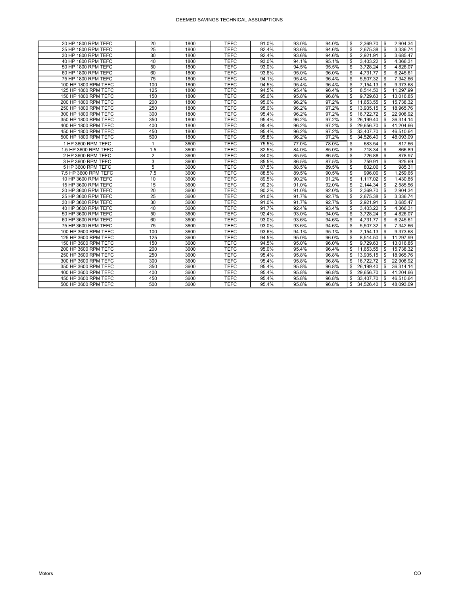| 20 HP 1800 RPM TEFC  | 20             | 1800 | <b>TEFC</b> | 91.0% | 93.0% | 94.0% | \$. | $2,369.70$ \$ |      | 2,904.34  |
|----------------------|----------------|------|-------------|-------|-------|-------|-----|---------------|------|-----------|
| 25 HP 1800 RPM TEFC  | 25             | 1800 | <b>TEFC</b> | 92.4% | 93.6% | 94.6% | \$  | 2,675.38      | - \$ | 3,336.74  |
| 30 HP 1800 RPM TEFC  | 30             | 1800 | <b>TEFC</b> | 92.4% | 93.6% | 94.6% | \$  | $2,921.91$ \$ |      | 3.685.47  |
| 40 HP 1800 RPM TEFC  | 40             | 1800 | <b>TEFC</b> | 93.0% | 94.1% | 95.1% | \$  |               |      | 4.366.31  |
| 50 HP 1800 RPM TEFC  | 50             | 1800 | <b>TEFC</b> | 93.0% | 94.5% | 95.5% | \$  | $3,728.24$ \$ |      | 4,826.07  |
| 60 HP 1800 RPM TEFC  | 60             | 1800 | <b>TEFC</b> | 93.6% | 95.0% | 96.0% | \$  | 4.731.77      | \$   | 6,245.61  |
| 75 HP 1800 RPM TEFC  | 75             | 1800 | <b>TEFC</b> | 94.1% | 95.4% | 96.4% | \$  | 5,507.32      | - \$ | 7,342.66  |
| 100 HP 1800 RPM TEFC | 100            | 1800 | <b>TEFC</b> | 94.5% | 95.4% | 96.4% | \$  | $7,154.13$ \$ |      | 9.373.68  |
| 125 HP 1800 RPM TEFC | 125            | 1800 | <b>TEFC</b> | 94.5% | 95.4% | 96.4% | \$  | 8,514.50      | - \$ | 11,297.99 |
| 150 HP 1800 RPM TEFC | 150            | 1800 | <b>TEFC</b> | 95.0% | 95.8% | 96.8% | \$  | 9,729.63      | \$   | 13,016.85 |
| 200 HP 1800 RPM TEFC | 200            | 1800 | <b>TEFC</b> | 95.0% | 96.2% | 97.2% | \$  | 11,653.55     | \$   | 15,738.32 |
| 250 HP 1800 RPM TEFC | 250            | 1800 | <b>TEFC</b> | 95.0% | 96.2% | 97.2% |     | 13,935.15     | - \$ | 18,965.76 |
| 300 HP 1800 RPM TEFC | 300            | 1800 | <b>TEFC</b> | 95.4% | 96.2% | 97.2% |     | 16,722.72     | \$   | 22,908.92 |
| 350 HP 1800 RPM TEFC | 350            | 1800 | <b>TEFC</b> | 95.4% | 96.2% | 97.2% |     | 26,199.40     | - \$ | 36,314.14 |
| 400 HP 1800 RPM TEFC | 400            | 1800 | <b>TEFC</b> | 95.4% | 96.2% | 97.2% |     | 29,656.70     | - \$ | 41,204.66 |
| 450 HP 1800 RPM TEFC | 450            | 1800 | <b>TEFC</b> | 95.4% | 96.2% | 97.2% | \$  | 33,407.70     | - \$ | 46,510.64 |
| 500 HP 1800 RPM TEFC | 500            | 1800 | <b>TEFC</b> | 95.8% | 96.2% | 97.2% | \$  | 34,526.40     | - \$ | 48,093.09 |
| 1 HP 3600 RPM TEFC   | $\mathbf{1}$   | 3600 | <b>TEFC</b> | 75.5% | 77.0% | 78.0% | \$  | 683.54        | S    | 817.66    |
| 1.5 HP 3600 RPM TEFC | 1.5            | 3600 | <b>TEFC</b> | 82.5% | 84.0% | 85.0% | \$  | 718.34        | l \$ | 866.89    |
| 2 HP 3600 RPM TEFC   | $\overline{2}$ | 3600 | <b>TEFC</b> | 84.0% | 85.5% | 86.5% | \$  | 726.88        | - \$ | 878.97    |
| 3 HP 3600 RPM TEFC   | 3              | 3600 | <b>TEFC</b> | 85.5% | 86.5% | 87.5% | \$  | 759.91        | l s  | 925.69    |
| 5 HP 3600 RPM TEFC   | $\overline{5}$ | 3600 | <b>TEFC</b> | 87.5% | 88.5% | 89.5% | \$  | 802.06        | - \$ | 985.31    |
| 7.5 HP 3600 RPM TEFC | 7.5            | 3600 | <b>TEFC</b> | 88.5% | 89.5% | 90.5% | \$  | 996.00        | l \$ | 1,259.65  |
| 10 HP 3600 RPM TEFC  | 10             | 3600 | <b>TEFC</b> | 89.5% | 90.2% | 91.2% | \$  | 1,117.02      | - \$ | 1,430.85  |
| 15 HP 3600 RPM TEFC  | 15             | 3600 | <b>TEFC</b> | 90.2% | 91.0% | 92.0% | \$  | 2,144.34      | - \$ | 2.585.56  |
| 20 HP 3600 RPM TEFC  | 20             | 3600 | <b>TEFC</b> | 90.2% | 91.0% | 92.0% | \$  | 2,369.70      | - \$ | 2,904.34  |
| 25 HP 3600 RPM TEFC  | 25             | 3600 | <b>TEFC</b> | 91.0% | 91.7% | 92.7% | \$  | 2,675.38      | - \$ | 3,336.74  |
| 30 HP 3600 RPM TEFC  | 30             | 3600 | <b>TEFC</b> | 91.0% | 91.7% | 92.7% | \$  | 2,921.91      | - \$ | 3,685.47  |
| 40 HP 3600 RPM TEFC  | 40             | 3600 | <b>TEFC</b> | 91.7% | 92.4% | 93.4% | \$  | 3,403.22      | - \$ | 4,366.31  |
| 50 HP 3600 RPM TEFC  | 50             | 3600 | <b>TEFC</b> | 92.4% | 93.0% | 94.0% | \$  | $3,728.24$ \$ |      | 4,826.07  |
| 60 HP 3600 RPM TEFC  | 60             | 3600 | <b>TEFC</b> | 93.0% | 93.6% | 94.6% | \$  | 4.731.77      | - \$ | 6,245.61  |
| 75 HP 3600 RPM TEFC  | 75             | 3600 | <b>TEFC</b> | 93.0% | 93.6% | 94.6% | \$  | 5,507.32      | l \$ | 7,342.66  |
| 100 HP 3600 RPM TEFC | 100            | 3600 | <b>TEFC</b> | 93.6% | 94.1% | 95.1% | \$  | 7,154.13      | - \$ | 9,373.68  |
| 125 HP 3600 RPM TEFC | 125            | 3600 | <b>TEFC</b> | 94.5% | 95.0% | 96.0% | \$  | 8,514.50      | \$   | 11.297.99 |
| 150 HP 3600 RPM TEFC | 150            | 3600 | <b>TEFC</b> | 94.5% | 95.0% | 96.0% | \$  | 9,729.63      | - \$ | 13,016.85 |
| 200 HP 3600 RPM TEFC | 200            | 3600 | <b>TEFC</b> | 95.0% | 95.4% | 96.4% | \$  | 11,653.55     | - \$ | 15,738.32 |
| 250 HP 3600 RPM TEFC | 250            | 3600 | <b>TEFC</b> | 95.4% | 95.8% | 96.8% | \$  | 13,935.15     | \$   | 18,965.76 |
| 300 HP 3600 RPM TEFC | 300            | 3600 | <b>TEFC</b> | 95.4% | 95.8% | 96.8% | \$  | 16,722.72     | \$   | 22.908.92 |
| 350 HP 3600 RPM TEFC | 350            | 3600 | <b>TEFC</b> | 95.4% | 95.8% | 96.8% | \$  | 26,199.40     | -S   | 36,314.14 |
| 400 HP 3600 RPM TEFC | 400            | 3600 | <b>TEFC</b> | 95.4% | 95.8% | 96.8% |     | 29,656.70     | - \$ | 41,204.66 |
| 450 HP 3600 RPM TEFC | 450            | 3600 | <b>TEFC</b> | 95.4% | 95.8% | 96.8% |     | 33,407.70     | - \$ | 46,510.64 |
| 500 HP 3600 RPM TEFC | 500            | 3600 | <b>TEFC</b> | 95.4% | 95.8% | 96.8% | \$  | 34.526.40     | \$   | 48.093.09 |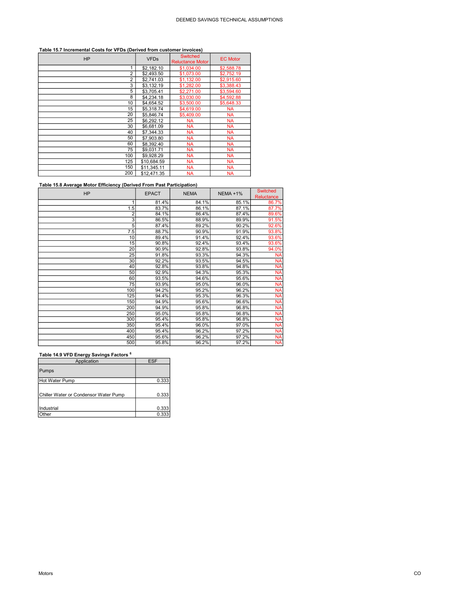## Table 15.7 Incremental Costs for VFDs (Derived from customer invoices)

| <b>HP</b>      | <b>VFDs</b> | <b>Switched</b><br><b>Reluctance Motor</b> | <b>EC Motor</b> |
|----------------|-------------|--------------------------------------------|-----------------|
| 1              | \$2,182.10  | \$1,034.00                                 | \$2,588.78      |
| $\overline{2}$ | \$2,493.50  | \$1,073.00                                 | \$2,752.19      |
| $\overline{2}$ | \$2,741.03  | \$1,132.00                                 | \$2,915.60      |
| 3              | \$3,132.19  | \$1,282.00                                 | \$3,388.43      |
| 5              | \$3.705.41  | \$2,271.00                                 | \$3,594.60      |
| 8              | \$4,234.18  | \$3,030.00                                 | \$4,592.88      |
| 10             | \$4,654.52  | \$3,500.00                                 | \$5,648.33      |
| 15             | \$5,318.74  | \$4,619.00                                 | <b>NA</b>       |
| 20             | \$5,846.74  | \$5,409.00                                 | <b>NA</b>       |
| 25             | \$6.292.12  | <b>NA</b>                                  | <b>NA</b>       |
| 30             | \$6,681.09  | <b>NA</b>                                  | <b>NA</b>       |
| 40             | \$7,344,33  | <b>NA</b>                                  | <b>NA</b>       |
| 50             | \$7,903.80  | <b>NA</b>                                  | <b>NA</b>       |
| 60             | \$8,392.40  | <b>NA</b>                                  | <b>NA</b>       |
| 75             | \$9,031.71  | <b>NA</b>                                  | <b>NA</b>       |
| 100            | \$9,928.29  | <b>NA</b>                                  | <b>NA</b>       |
| 125            | \$10,684.59 | <b>NA</b>                                  | <b>NA</b>       |
| 150            | \$11,345.11 | <b>NA</b>                                  | <b>NA</b>       |
| 200            | \$12.471.35 | <b>NA</b>                                  | <b>NA</b>       |

# Table 15.8 Average Motor Efficiency (Derived From Past Participation)

| <b>HP</b>      | <b>EPACT</b> | <b>NEMA</b> | <b>NEMA +1%</b> | <b>Switched</b> |
|----------------|--------------|-------------|-----------------|-----------------|
|                |              |             |                 | Reluctance      |
| 1              | 81.4%        | 84.1%       | 85.1%           | 86.7%           |
| 1.5            | 83.7%        | 86.1%       | 87.1%           | 87.7%           |
| 2              | 84.1%        | 86.4%       | 87.4%           | 89.6%           |
| $\overline{3}$ | 86.5%        | 88.9%       | 89.9%           | 91.5%           |
| 5              | 87.4%        | 89.2%       | 90.2%           | 92.6%           |
| 7.5            | 88.7%        | 90.9%       | 91.9%           | 93.8%           |
| 10             | 89.4%        | 91.4%       | 92.4%           | 93.6%           |
| 15             | 90.8%        | 92.4%       | 93.4%           | 93.6%           |
| 20             | 90.9%        | 92.8%       | 93.8%           | 94.0%           |
| 25             | 91.8%        | 93.3%       | 94.3%           | <b>NA</b>       |
| 30             | 92.2%        | 93.5%       | 94.5%           | <b>NA</b>       |
| 40             | 92.8%        | 93.8%       | 94.8%           | <b>NA</b>       |
| 50             | 92.9%        | 94.3%       | 95.3%           | <b>NA</b>       |
| 60             | 93.5%        | 94.6%       | 95.6%           | <b>NA</b>       |
| 75             | 93.9%        | 95.0%       | 96.0%           | <b>NA</b>       |
| 100            | 94.2%        | 95.2%       | 96.2%           | <b>NA</b>       |
| 125            | 94.4%        | 95.3%       | 96.3%           | <b>NA</b>       |
| 150            | 94.9%        | 95.6%       | 96.6%           | <b>NA</b>       |
| 200            | 94.9%        | 95.8%       | 96.8%           | <b>NA</b>       |
| 250            | 95.0%        | 95.8%       | 96.8%           | <b>NA</b>       |
| 300            | 95.4%        | 95.8%       | 96.8%           | <b>NA</b>       |
| 350            | 95.4%        | 96.0%       | 97.0%           | <b>NA</b>       |
| 400            | 95.4%        | 96.2%       | 97.2%           | <b>NA</b>       |
| 450            | 95.6%        | 96.2%       | 97.2%           | <b>NA</b>       |
| 500            | 95.8%        | 96.2%       | 97.2%           | NA              |

# Table 14.9 VFD Energy Savings Factors <sup>6</sup>

| Application                           | <b>ESF</b> |
|---------------------------------------|------------|
| Pumps                                 |            |
| Hot Water Pump                        | 0.333      |
| Chiller Water or Condensor Water Pump | 0.333      |
| Industrial                            | 0.333      |
| Other                                 | 0.333      |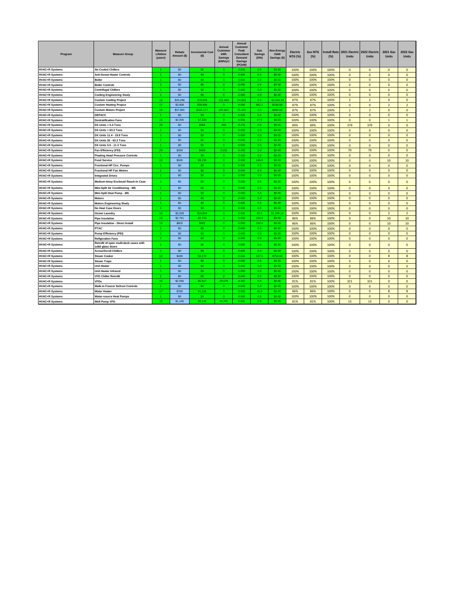| Program               | <b>Measure Group</b>                                        | <b>Measure</b><br>Lifetime<br>(years) | Rebate<br>Amount (\$) | <b>Incremental Cost</b><br>(S) | Annual<br>Customer<br>kWh<br><b>Savings</b><br>(kWh/yr) | Annual<br>Customer<br>Peak<br>Coincident<br>Demand<br><b>Savings</b><br>(PCkW) | Gas<br><b>Savings</b><br>(Dth) | Non-Energy<br><b>O&amp;M</b><br>Savings (\$) | <b>Electric</b><br><b>NTG (%)</b> | <b>Gas NTG</b><br>(%) | (%)  | Install Rate 2021 Electric 2022 Electric<br><b>Units</b> | <b>Units</b>             | <b>2021 Gas</b><br><b>Units</b> | <b>2022 Gas</b><br><b>Units</b> |
|-----------------------|-------------------------------------------------------------|---------------------------------------|-----------------------|--------------------------------|---------------------------------------------------------|--------------------------------------------------------------------------------|--------------------------------|----------------------------------------------|-----------------------------------|-----------------------|------|----------------------------------------------------------|--------------------------|---------------------------------|---------------------------------|
| <b>HVAC+R Systems</b> | <b>Air-Cooled Chillers</b>                                  |                                       | \$0                   | SO.                            | $\overline{0}$                                          | 0.000                                                                          | 0.0                            | \$0.00                                       | 100%                              | 100%                  | 100% | $\mathbf{0}$                                             | $\Omega$                 | $\mathbf{0}$                    | $\mathbf{0}$                    |
| <b>HVAC+R Systems</b> | <b>Anti-Sweat Heater Controls</b>                           | $\blacktriangleleft$                  | \$0                   | SO.                            | $\circ$                                                 | 0.000                                                                          | 0.0                            | \$0.00                                       | 100%                              | 100%                  | 100% | $\mathbf{0}$                                             | $\mathbf{0}$             | $\mathbf{0}$                    | $\mathbf{0}$                    |
| <b>HVAC+R Systems</b> | <b>Boiler</b>                                               | $\blacktriangleleft$                  | \$0                   | SO.                            | $\Omega$                                                | 0.000                                                                          | 0.0                            | \$0.00                                       | 100%                              | 100%                  | 100% | $\mathbf{0}$                                             | $\Omega$                 | $\mathbf{0}$                    | $\mathbf{0}$                    |
| <b>HVAC+R Systems</b> | <b>Boiler Controls</b>                                      | 1                                     | \$0                   | SO.                            | $\circ$                                                 | 0.000                                                                          | 0.0                            | \$0.00                                       | 100%                              | 100%                  | 100% | $\mathbf 0$                                              | $\mathbf 0$              | $\mathbf 0$                     | $\mathbf 0$                     |
| <b>HVAC+R Systems</b> | <b>Centrifugal Chillers</b>                                 |                                       | \$0                   | SO.                            | $\sqrt{2}$                                              | 0.000                                                                          | 0 <sub>0</sub>                 | \$0.00                                       | 100%                              | 100%                  | 100% | $\mathbf 0$                                              | $\Omega$                 | $\Omega$                        | $\mathbf 0$                     |
| <b>HVAC+R Systems</b> | <b>Cooling Engineering Study</b>                            |                                       | SO <sub>2</sub>       | SO.                            | $\Omega$                                                | 0.000                                                                          | 0.0                            | \$0.00                                       | 100%                              | 100%                  | 100% | $\mathbf{0}$                                             | $\mathbf{0}$             | $\Omega$                        | $\mathbf{0}$                    |
| <b>HVAC+R Systems</b> | <b>Custom Cooling Project</b>                               | 19                                    | \$26,286              | \$78,509                       | 101,583                                                 | 54.853                                                                         | 0.0                            | \$1,560.43                                   | 87%                               | 87%                   | 100% | $\overline{\phantom{a}}$                                 | $\overline{\phantom{a}}$ | $\mathbf{0}$                    | $\mathbf{0}$                    |
| <b>HVAC+R Systems</b> | <b>Custom Heating Project</b>                               | 17                                    | \$3,808               | \$39,849                       | $\Omega$                                                | 0.000                                                                          | 952.1                          | \$238.58                                     | 87%                               | 87%                   | 100% | $\mathbf{0}$                                             | $\Omega$                 | $\overline{\phantom{a}}$        | $\overline{2}$                  |
| <b>HVAC+R Systems</b> | <b>Custom Motors Project</b>                                | 16                                    | \$37,881              | \$161.177                      | 487.067                                                 | 71.041                                                                         | 0.0                            | \$880.50                                     | 87%                               | 87%                   | 100% | $\overline{2}$                                           | $\overline{2}$           | $\mathbf{0}$                    | $\mathbf{0}$                    |
| <b>HVAC+R Systems</b> | DEPACC                                                      | $\blacktriangleleft$                  | SO <sub>2</sub>       | SO.                            | $\overline{0}$                                          | 0.000                                                                          | 0.0                            | \$0.00                                       | 100%                              | 100%                  | 100% | $\Omega$                                                 | $\Omega$                 | $\Omega$                        | $\Omega$                        |
| <b>HVAC+R Systems</b> | <b>Destratification Fans</b>                                | 15                                    | \$2,000               | \$7,320                        | $\circ$                                                 | 0.000                                                                          | 87.8                           | \$0.00                                       | 100%                              | 100%                  | 100% | $\mathbf{0}$                                             | $\mathbf{0}$             | $\mathbf{1}$                    | $\mathbf{1}$                    |
| <b>HVAC+R Systems</b> | DX Units < 5.4 Tons                                         | 20                                    | \$0                   | \$369                          | 383                                                     | 0.276                                                                          | 0.0                            | \$0.00                                       | 89%                               | 89%                   | 100% | 379                                                      | 379                      | $\mathbf{0}$                    | $\mathbf{0}$                    |
| <b>HVAC+R Systems</b> | DX Units > 63.3 Tons                                        |                                       | S <sub>0</sub>        | SO.                            | $\Omega$                                                | 0.000                                                                          | 0.0                            | \$0.00                                       | 100%                              | 100%                  | 100% | $\mathbf{0}$                                             | $\mathbf{0}$             | $\mathbf{0}$                    | $\mathbf{0}$                    |
| <b>HVAC+R Systems</b> | DX Units 11.4 - 19.9 Tons                                   |                                       | \$0                   | \$O                            | $\Omega$                                                | 0.000                                                                          | 0.0                            | \$0.00                                       | 100%                              | 100%                  | 100% | $\Omega$                                                 | $\Omega$                 | $\Omega$                        | $\mathbf{0}$                    |
| <b>HVAC+R Systems</b> | DX Units 20 - 63.3 Tons                                     | $\blacktriangleleft$                  | \$0                   | SO.                            | $\Omega$                                                | 0.000                                                                          | 0.0                            | \$0.00                                       | 100%                              | 100%                  | 100% | $\pmb{0}$                                                | $\Omega$                 | $\mathbf{0}$                    | $\mathbf{0}$                    |
| <b>HVAC+R Systems</b> | DX Units 5.5 - 11.3 Tons                                    | $\blacktriangleleft$                  | SO <sub>2</sub>       | SO.                            | $\overline{0}$                                          | 0.000                                                                          | 0.0                            | \$0.00                                       | 100%                              | 100%                  | 100% | $\mathbf{0}$                                             | $\mathbf{0}$             | $\mathbf{0}$                    | $\Omega$                        |
| <b>HVAC+R Systems</b> | Fan Efficiency (FEI)                                        | 20                                    | \$294                 | \$553                          | 1.502                                                   | 0.230                                                                          | 0.0                            | \$0.00                                       | 100%                              | 100%                  | 100% | 70                                                       | 70                       | $\Omega$                        | $\mathbf{0}$                    |
| <b>HVAC+R Systems</b> | <b>Floating Head Pressure Controls</b>                      | 4                                     | \$0                   | SO.                            | $\Omega$                                                | 0.000                                                                          | 0.0                            | \$0.00                                       | 100%                              | 100%                  | 100% | $\mathbf{0}$                                             | $\mathbf{0}$             | $\mathbf{0}$                    | $\mathbf{0}$                    |
| <b>HVAC+R Systems</b> | <b>Food Service</b>                                         | 12                                    | \$500                 | \$3.150                        | $\Omega$                                                | 0.000                                                                          | 145.0                          | \$0.00                                       | 100%                              | 100%                  | 100% | $\mathbf{0}$                                             | $\Omega$                 | 10                              | 10 <sup>10</sup>                |
| <b>HVAC+R Systems</b> | <b>Fractional HP Circ. Pumps</b>                            |                                       | \$0                   | \$0                            | $\Omega$                                                | 0.000                                                                          | 0.0                            | \$0.00                                       | 100%                              | 100%                  | 100% | $\mathbf{0}$                                             | $\Omega$                 | $\mathbf{0}$                    | $\mathbf{0}$                    |
| <b>HVAC+R Systems</b> | <b>Fractional HP Fan Motors</b>                             | $\blacktriangleleft$                  | \$0                   | SO.                            | $\circ$                                                 | 0.000                                                                          | 0.0                            | \$0.00                                       | 100%                              | 100%                  | 100% | $\Omega$                                                 | $\Omega$                 | $\overline{0}$                  | $\mathbf{0}$                    |
| <b>HVAC+R Systems</b> | <b>Integrated Drives</b>                                    | $\blacktriangleleft$                  | \$0                   | SO <sub>1</sub>                | $\Omega$                                                | 0.000                                                                          | 0.0                            | \$0.00                                       | 100%                              | 100%                  | 100% | $\pmb{0}$                                                | $\mathbf{0}$             | $\mathbf 0$                     | $\pmb{\mathsf{o}}$              |
| <b>HVAC+R Systems</b> | Medium-temp Enclosed Reach-In Case                          | 4                                     | \$0                   | SO <sub>1</sub>                | $\sqrt{2}$                                              | 0.000                                                                          | 0.0                            | \$0.00                                       | 100%                              | 100%                  | 100% | $\mathbf 0$                                              | $\overline{0}$           | $\mathbf 0$                     | $\mathbf 0$                     |
| <b>HVAC+R Systems</b> | Mini-Split Air Conditioning - MS                            | $\blacktriangleleft$                  | \$0                   | SO <sub>1</sub>                | $\Omega$                                                | 0.000                                                                          | 0.0                            | \$0.00                                       | 100%                              | 100%                  | 100% | $\mathbf 0$                                              | $\mathbf{0}$             | $\overline{0}$                  | $\pmb{\mathsf{o}}$              |
| <b>HVAC+R Systems</b> | Mini-Split Heat Pump - MS                                   | $\overline{1}$                        | SO <sub>2</sub>       | SO.                            | $\circ$                                                 | 0.000                                                                          | 0.0                            | \$0.00                                       | 100%                              | 100%                  | 100% | $\mathbf{0}$                                             | $\Omega$                 | $\mathbf{0}$                    | $\pmb{\mathsf{o}}$              |
| <b>HVAC+R Systems</b> | <b>Motors</b>                                               | $\blacktriangleleft$                  | \$0                   | SO.                            | $\circ$                                                 | 0.000                                                                          | 0.0                            | \$0.00                                       | 100%                              | 100%                  | 100% | $\mathbf{0}$                                             | $\Omega$                 | $\mathbf{0}$                    | $\mathbf{0}$                    |
| <b>HVAC+R Systems</b> | <b>Motors Engineering Study</b>                             | 4.                                    | \$0                   | SO.                            | $\Omega$                                                | 0.000                                                                          | 0.0                            | \$0.00                                       | 100%                              | 100%                  | 100% | $\mathbf{0}$                                             | $\Omega$                 | $\mathbf{0}$                    | $\mathbf{0}$                    |
| <b>HVAC+R Systems</b> | No Heat Case Doors                                          |                                       | S <sub>0</sub>        | SO.                            | $\Omega$                                                | 0.000                                                                          | 0.0                            | \$0.00                                       | 100%                              | 100%                  | 100% | $\mathbf 0$                                              | $\mathbf{0}$             | $\mathbf{0}$                    | $\pmb{\mathsf{o}}$              |
| <b>HVAC+R Systems</b> | Ozone Laundry                                               | 10                                    | \$3.028               | \$10,804                       | $\Omega$                                                | 0.000                                                                          | 82.0                           | \$1,249.14                                   | 100%                              | 100%                  | 100% | $\Omega$                                                 | $\Omega$                 | $\overline{\phantom{a}}$        | $\overline{\phantom{a}}$        |
| <b>HVAC+R Systems</b> | <b>Pipe Insulation</b>                                      | 13                                    | \$2.751               | \$2,734                        | $\circ$                                                 | 0.000                                                                          | 100.4                          | \$0.00                                       | 86%                               | 86%                   | 100% | $\Omega$                                                 | $\Omega$                 | 10                              | 10                              |
| <b>HVAC+R Systems</b> | Pipe Insulation - Direct Install                            | 13                                    | \$803                 | \$803                          | $\Omega$                                                | 0.000                                                                          | 100.4                          | \$0.00                                       | 86%                               | 86%                   | 100% | $\Omega$                                                 | $\Omega$                 | 10                              | 10                              |
| <b>HVAC+R Systems</b> | PTAC                                                        | $\blacktriangleleft$                  | \$0                   | SO.                            | $\circ$                                                 | 0.000                                                                          | 0 <sub>0</sub>                 | \$0.00                                       | 100%                              | 100%                  | 100% | $\mathbf{0}$                                             | $\Omega$                 | $\mathbf{0}$                    | $\mathbf{0}$                    |
| <b>HVAC+R Systems</b> | Pump Efficiency (PEI)                                       | $\blacktriangleleft$                  | \$0                   | SO.                            | $\Omega$                                                | 0.000                                                                          | 0.0                            | \$0.00                                       | 100%                              | 100%                  | 100% | $\mathbf{0}$                                             | $\Omega$                 | $\mathbf{0}$                    | $\mathbf{0}$                    |
| <b>HVAC+R Systems</b> | <b>Refigeration Fans</b>                                    | 1                                     | \$0                   | SO.                            | $\circ$                                                 | 0.000                                                                          | 0.0                            | \$0.00                                       | 100%                              | 100%                  | 100% | $\mathbf{0}$                                             | $\Omega$                 | $\mathbf{0}$                    | $\mathbf{0}$                    |
| <b>HVAC+R Systems</b> | Retrofit of open multi-deck cases with<br>solid glass doors | $\blacktriangleleft$                  | \$0                   | SO.                            | $\circ$                                                 | 0.000                                                                          | 0.0                            | \$0.00                                       | 100%                              | 100%                  | 100% | $\Omega$                                                 | $\Omega$                 | $\Omega$                        | $\mathbf{0}$                    |
| <b>HVAC+R Systems</b> | <b>Screw/Scroll Chillers</b>                                | $\blacktriangleleft$                  | \$0                   | SO.                            | $\overline{0}$                                          | 0.000                                                                          | 0.0                            | \$0.00                                       | 100%                              | 100%                  | 100% | $\mathbf{0}$                                             | $\mathbf{0}$             | $\mathbf{0}$                    | $\mathbf{0}$                    |
| <b>HVAC+R Systems</b> | <b>Steam Cooker</b>                                         | 12                                    | \$430                 | \$2,270                        | $\sqrt{2}$                                              | 0.000                                                                          | 107.3                          | \$753.03                                     | 100%                              | 100%                  | 100% | $\mathbf 0$                                              | $\Omega$                 | 8                               | 8                               |
| <b>HVAC+R Systems</b> | <b>Steam Traps</b>                                          |                                       | S <sub>0</sub>        | SO.                            | $\Omega$                                                | 0.000                                                                          | 0.0                            | \$0.00                                       | 100%                              | 100%                  | 100% | $\mathbf{0}$                                             | $\mathbf{0}$             | $\Omega$                        | $\mathbf{0}$                    |
| <b>HVAC+R Systems</b> | <b>Unit Heater</b>                                          |                                       | \$0                   | \$O                            | $\circ$                                                 | 0.000                                                                          | 0.0                            | \$0.00                                       | 100%                              | 100%                  | 100% | $\mathbf{0}$                                             | $\Omega$                 | $\mathbf{0}$                    | $\mathbf{0}$                    |
| <b>HVAC+R Systems</b> | Unit Heater Infrared                                        | $\overline{1}$                        | \$0                   | S <sub>0</sub>                 | $\Omega$                                                | 0.000                                                                          | 0.0                            | \$0.00                                       | 100%                              | 100%                  | 100% | $\Omega$                                                 | $\Omega$                 | $\Omega$                        | $\mathbf{0}$                    |
| <b>HVAC+R Systems</b> | <b>VFD Chiller Retrofit</b>                                 | $\blacktriangleleft$                  | \$0                   | so.                            | $\Omega$                                                | 0.000                                                                          | 0.0                            | \$0.00                                       | 100%                              | 100%                  | 100% | $\pmb{0}$                                                | $\mathbf{0}$             | $\mathbf 0$                     | $\pmb{\mathsf{o}}$              |
| <b>HVAC+R Systems</b> | <b>VFDs</b>                                                 | 15                                    | \$2,936               | \$5.917                        | 29.679                                                  | 4.362                                                                          | 0.0                            | \$0.00                                       | 81%                               | 81%                   | 100% | 321                                                      | 321                      | $\Omega$                        | $\Omega$                        |
| <b>HVAC+R Systems</b> | <b>Walk-in Freezer Defrost Controls</b>                     | $\mathbf{1}$                          | \$0                   | S <sub>0</sub>                 | $\circ$                                                 | 0.000                                                                          | 0.0                            | \$0.00                                       | 100%                              | 100%                  | 100% | $\mathbf{0}$                                             | $\mathbf{0}$             | $\mathbf{0}$                    | $\mathbf{0}$                    |
| <b>HVAC+R Systems</b> | <b>Water Heater</b>                                         | 17                                    | \$760                 | \$1,156                        | $\Omega$                                                | 0.000                                                                          | 46.2                           | \$0.00                                       | 86%                               | 86%                   | 100% | $\mathbf{0}$                                             | $\mathbf{0}$             | 8                               | 8                               |
| <b>HVAC+R Systems</b> | Water-source Heat Pumps                                     |                                       | \$0                   | \$0                            | $\Omega$                                                | 0.000                                                                          | 0.0                            | \$0.00                                       | 100%                              | 100%                  | 100% | $\mathbf{0}$                                             | $\Omega$                 | $\mathbf{0}$                    | $\mathbf{0}$                    |
| <b>HVAC+R Systems</b> | Well Pump VFD                                               | 15                                    | \$1,145               | \$8.146                        | 44.787                                                  | 5.941                                                                          | 0.0                            | \$0.00                                       | 81%                               | 81%                   | 100% | 13                                                       | 13                       | $\mathbf{0}$                    | $\mathbf{0}$                    |